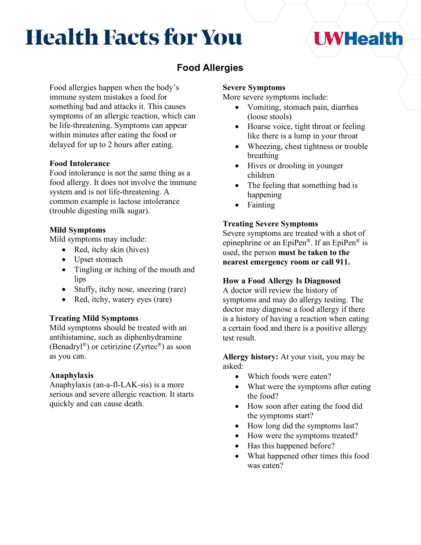# **Health Facts for You**

## **I** WHealth

## **Food Allergies**

Food allergies happen when the body's immune system mistakes a food for something bad and attacks it. This causes symptoms of an allergic reaction, which can be life-threatening. Symptoms can appear within minutes after eating the food or delayed for up to 2 hours after eating.

#### **Food Intolerance**

Food intolerance is not the same thing as a food allergy. It does not involve the immune system and is not life-threatening. A common example is lactose intolerance (trouble digesting milk sugar).

#### **Mild Symptoms**

Mild symptoms may include:

- Red, itchy skin (hives)
- Upset stomach
- Tingling or itching of the mouth and lips
- Stuffy, itchy nose, sneezing (rare)
- Red, itchy, watery eyes (rare)

#### **Treating Mild Symptoms**

Mild symptoms should be treated with an antihistamine, such as diphenhydramine (Benadryl®) or cetirizine (Zyrtec®) as soon as you can.

#### **Anaphylaxis**

Anaphylaxis (an-a-fl-LAK-sis) is a more serious and severe allergic reaction. It starts quickly and can cause death.

#### **Severe Symptoms**

More severe symptoms include:

- Vomiting, stomach pain, diarrhea (loose stools)
- Hoarse voice, tight throat or feeling like there is a lump in your throat
- Wheezing, chest tightness or trouble breathing
- Hives or drooling in younger children
- The feeling that something bad is happening
- Fainting

#### **Treating Severe Symptoms**

Severe symptoms are treated with a shot of epinephrine or an EpiPen®. If an EpiPen® is used, the person **must be taken to the nearest emergency room or call 911.**

#### **How a Food Allergy Is Diagnosed**

A doctor will review the history of symptoms and may do allergy testing. The doctor may diagnose a food allergy if there is a history of having a reaction when eating a certain food and there is a positive allergy test result.

**Allergy history:** At your visit, you may be asked:

- Which foods were eaten?
- What were the symptoms after eating the food?
- How soon after eating the food did the symptoms start?
- How long did the symptoms last?
- How were the symptoms treated?
- Has this happened before?
- What happened other times this food was eaten?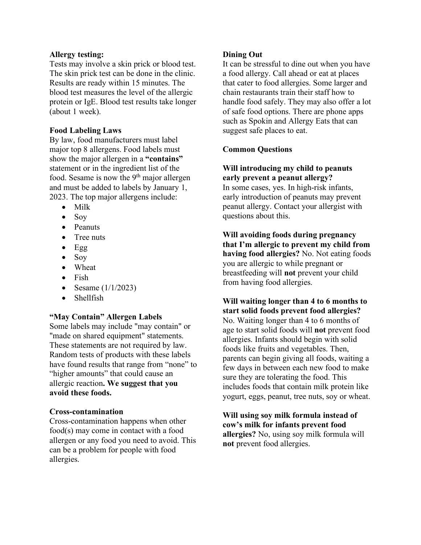#### **Allergy testing:**

Tests may involve a skin prick or blood test. The skin prick test can be done in the clinic. Results are ready within 15 minutes. The blood test measures the level of the allergic protein or IgE. Blood test results take longer (about 1 week).

#### **Food Labeling Laws**

By law, food manufacturers must label major top 8 allergens. Food labels must show the major allergen in a **"contains"** statement or in the ingredient list of the food. Sesame is now the  $9<sup>th</sup>$  major allergen and must be added to labels by January 1, 2023. The top major allergens include:

- Milk
- Soy
- Peanuts
- Tree nuts
- $\bullet$  Egg
- Soy
- Wheat
- Fish
- Sesame  $(1/1/2023)$
- Shellfish

#### **"May Contain" Allergen Labels**

Some labels may include "may contain" or "made on shared equipment" statements. These statements are not required by law. Random tests of products with these labels have found results that range from "none" to "higher amounts" that could cause an allergic reaction**. We suggest that you avoid these foods.**

#### **Cross-contamination**

Cross-contamination happens when other food(s) may come in contact with a food allergen or any food you need to avoid. This can be a problem for people with food allergies.

#### **Dining Out**

It can be stressful to dine out when you have a food allergy. Call ahead or eat at places that cater to food allergies. Some larger and chain restaurants train their staff how to handle food safely. They may also offer a lot of safe food options. There are phone apps such as Spokin and Allergy Eats that can suggest safe places to eat.

#### **Common Questions**

#### **Will introducing my child to peanuts early prevent a peanut allergy?**

In some cases, yes. In high-risk infants, early introduction of peanuts may prevent peanut allergy. Contact your allergist with questions about this.

**Will avoiding foods during pregnancy that I'm allergic to prevent my child from having food allergies?** No. Not eating foods you are allergic to while pregnant or breastfeeding will **not** prevent your child from having food allergies.

#### **Will waiting longer than 4 to 6 months to start solid foods prevent food allergies?**  No. Waiting longer than 4 to 6 months of age to start solid foods will **not** prevent food allergies. Infants should begin with solid foods like fruits and vegetables. Then, parents can begin giving all foods, waiting a few days in between each new food to make sure they are tolerating the food. This includes foods that contain milk protein like yogurt, eggs, peanut, tree nuts, soy or wheat.

**Will using soy milk formula instead of cow's milk for infants prevent food allergies?** No, using soy milk formula will **not** prevent food allergies.